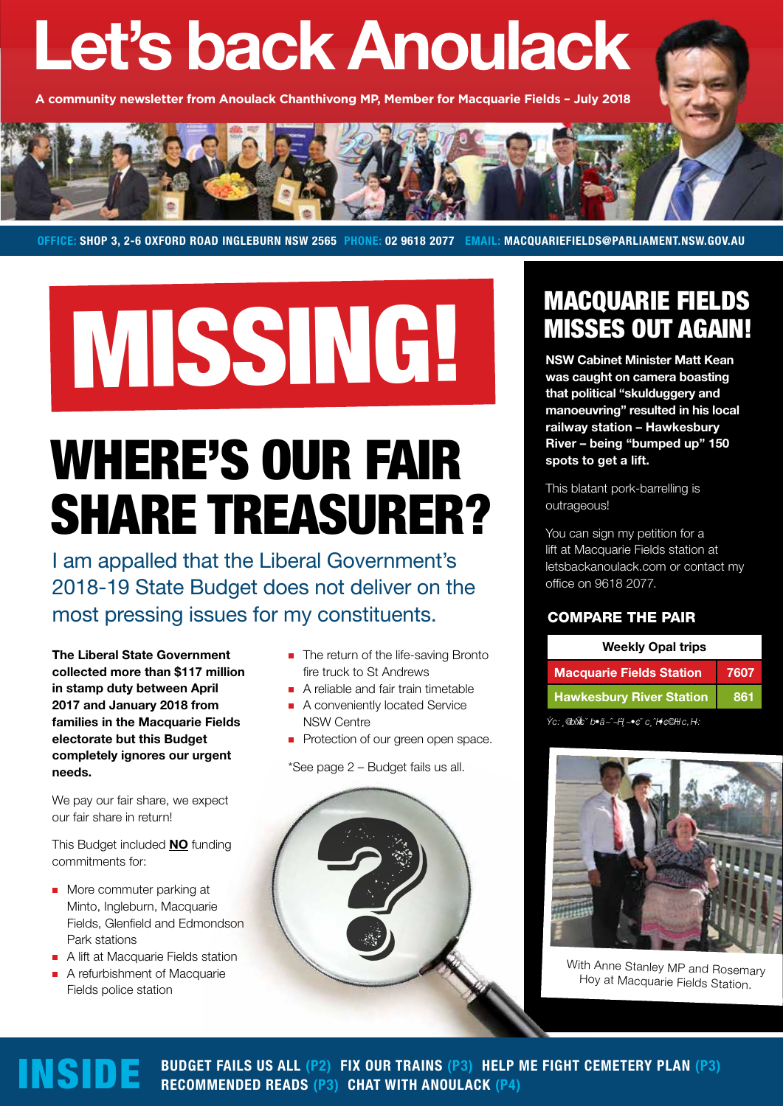# **Let's back Anoulack**

**A community newsletter from Anoulack Chanthivong MP, Member for Macquarie Fields – July 2018**



**OFFICE: SHOP 3, 2-6 OXFORD ROAD INGLEBURN NSW 2565 PHONE: 02 9618 2077 EMAIL: MACQUARIEFIELDS@PARLIAMENT.NSW.GOV.AU**

# MISSING!

# WHERE'S OUR FAIR SHARE TREASURER?

I am appalled that the Liberal Government's 2018-19 State Budget does not deliver on the most pressing issues for my constituents. COMPARE THE PAIR

**The Liberal State Government collected more than \$117 million in stamp duty between April 2017 and January 2018 from families in the Macquarie Fields electorate but this Budget completely ignores our urgent needs.**

We pay our fair share, we expect our fair share in return!

This Budget included **NO** funding commitments for:

- **More commuter parking at** Minto, Ingleburn, Macquarie Fields, Glenfield and Edmondson Park stations
- A lift at Macquarie Fields station
- A refurbishment of Macquarie Fields police station
- The return of the life-saving Bronto fire truck to St Andrews
- A reliable and fair train timetable
- A conveniently located Service NSW Centre
- Protection of our green open space.

\*See page 2 – Budget fails us all.



## MACQUARIE FIELDS MISSES OUT AGAIN!

**NSW Cabinet Minister Matt Kean was caught on camera boasting that political "skulduggery and manoeuvring" resulted in his local railway station – Hawkesbury River – being "bumped up" 150 spots to get a lift.** 

This blatant pork-barrelling is outrageous!

You can sign my petition for a lift at Macquarie Fields station at letsbackanoulack.com or contact my office on 9618 2077.

| <b>Weekly Opal trips</b>        |      |
|---------------------------------|------|
| <b>Macquarie Fields Station</b> | 7607 |
| <b>Hawkesbury River Station</b> | 861  |
|                                 |      |

*Sou rce: op endata.t r ansp or t.nsw.g ov.au*



With Anne Stanley MP and Rosemary<br>Hoy at Macquarie Fields Station.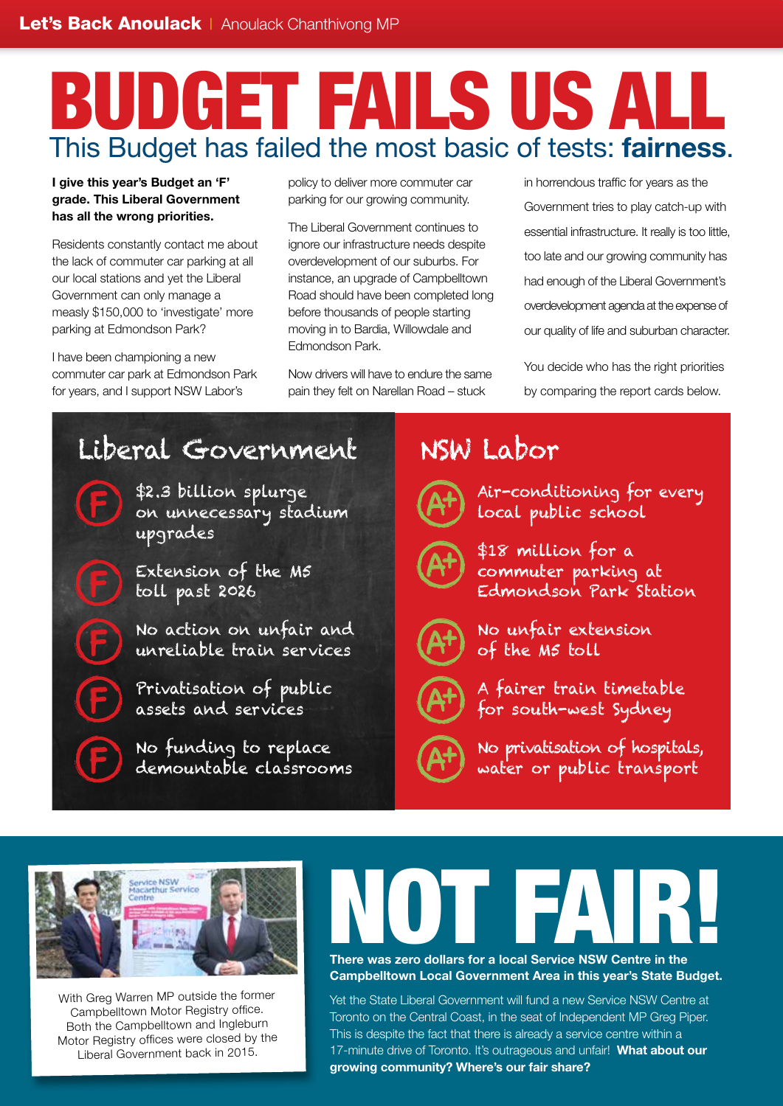# BUDGET FAILS US ALL This Budget has failed the most basic of tests: **fairness**.

#### **I give this year's Budget an 'F' grade. This Liberal Government has all the wrong priorities.**

Residents constantly contact me about the lack of commuter car parking at all our local stations and yet the Liberal Government can only manage a measly \$150,000 to 'investigate' more parking at Edmondson Park?

I have been championing a new commuter car park at Edmondson Park for years, and I support NSW Labor's

policy to deliver more commuter car parking for our growing community.

The Liberal Government continues to ignore our infrastructure needs despite overdevelopment of our suburbs. For instance, an upgrade of Campbelltown Road should have been completed long before thousands of people starting moving in to Bardia, Willowdale and Edmondson Park.

Now drivers will have to endure the same pain they felt on Narellan Road – stuck

in horrendous traffic for years as the Government tries to play catch-up with essential infrastructure. It really is too little, too late and our growing community has had enough of the Liberal Government's overdevelopment agenda at the expense of our quality of life and suburban character.

You decide who has the right priorities by comparing the report cards below.

# Liberal Government

\$2.3 billion splurge on unnecessary stadium upgrades

Extension of the M5 toll past 2026

No action on unfair and unreliable train services

Privatisation of public assets and services

No funding to replace demountable classrooms

## NSW Labor



Air-conditioning for every local public school



\$18 million for a commuter parking at Edmondson Park Station



No unfair extension of the M5 toll

A fairer train timetable for south-west Sydney



No privatisation of hospitals, water or public transport



With Greg Warren MP outside the former Campbelltown Motor Registry office. Both the Campbelltown and Ingleburn Motor Registry offices were closed by the Liberal Government back in 2015.

# There was zero dollars for a local Service NSW Centre in the

**Campbelltown Local Government Area in this year's State Budget.**

Yet the State Liberal Government will fund a new Service NSW Centre at Toronto on the Central Coast, in the seat of Independent MP Greg Piper. This is despite the fact that there is already a service centre within a 17-minute drive of Toronto. It's outrageous and unfair! **What about our growing community? Where's our fair share?**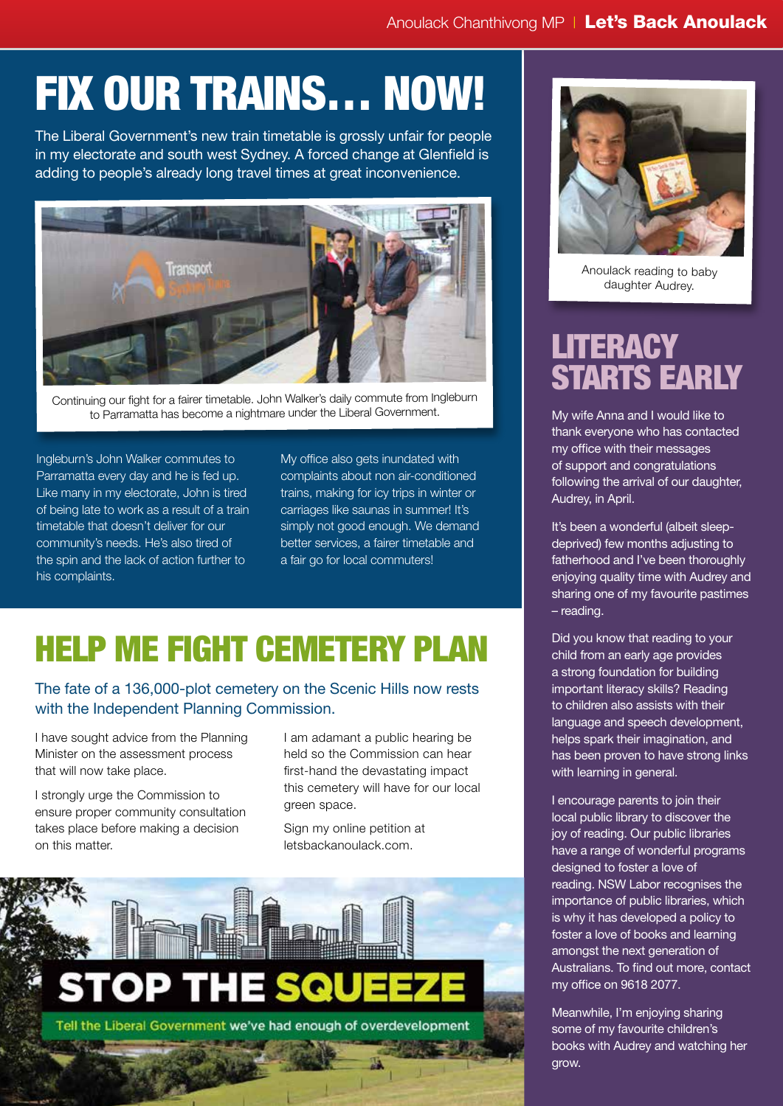# FIX OUR TRAINS… NOW!

The Liberal Government's new train timetable is grossly unfair for people in my electorate and south west Sydney. A forced change at Glenfield is adding to people's already long travel times at great inconvenience.

![](_page_2_Picture_3.jpeg)

Continuing our fight for a fairer timetable. John Walker's daily commute from Ingleburn to Parramatta has become a nightmare under the Liberal Government.

Ingleburn's John Walker commutes to Parramatta every day and he is fed up. Like many in my electorate, John is tired of being late to work as a result of a train timetable that doesn't deliver for our community's needs. He's also tired of the spin and the lack of action further to his complaints.

My office also gets inundated with complaints about non air-conditioned trains, making for icy trips in winter or carriages like saunas in summer! It's simply not good enough. We demand better services, a fairer timetable and a fair go for local commuters!

# HELP ME FIGHT CEMETERY PLAN

The fate of a 136,000-plot cemetery on the Scenic Hills now rests with the Independent Planning Commission.

I have sought advice from the Planning Minister on the assessment process that will now take place.

I strongly urge the Commission to ensure proper community consultation takes place before making a decision on this matter.

I am adamant a public hearing be held so the Commission can hear first-hand the devastating impact this cemetery will have for our local green space.

Sign my online petition at letsbackanoulack.com.

![](_page_2_Picture_13.jpeg)

![](_page_2_Picture_14.jpeg)

Anoulack reading to baby daughter Audrey.

## **LITERACY** STARTS EARLY

My wife Anna and I would like to thank everyone who has contacted my office with their messages of support and congratulations following the arrival of our daughter, Audrey, in April.

It's been a wonderful (albeit sleepdeprived) few months adjusting to fatherhood and I've been thoroughly enjoying quality time with Audrey and sharing one of my favourite pastimes – reading.

Did you know that reading to your child from an early age provides a strong foundation for building important literacy skills? Reading to children also assists with their language and speech development, helps spark their imagination, and has been proven to have strong links with learning in general.

I encourage parents to join their local public library to discover the joy of reading. Our public libraries have a range of wonderful programs designed to foster a love of reading. NSW Labor recognises the importance of public libraries, which is why it has developed a policy to foster a love of books and learning amongst the next generation of Australians. To find out more, contact my office on 9618 2077.

Meanwhile, I'm enjoying sharing some of my favourite children's books with Audrey and watching her grow.